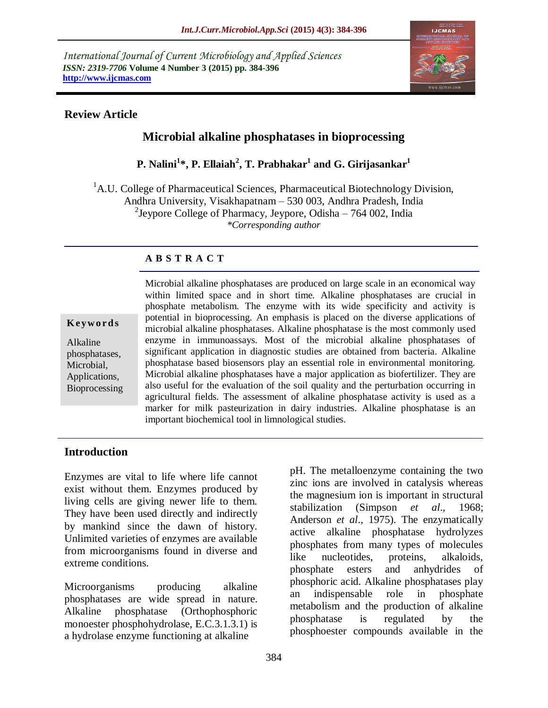*International Journal of Current Microbiology and Applied Sciences ISSN: 2319-7706* **Volume 4 Number 3 (2015) pp. 384-396 http://www.ijcmas.com** 



## **Review Article**

# **Microbial alkaline phosphatases in bioprocessing**

**P. Nalini<sup>1</sup> \*, P. Ellaiah<sup>2</sup> , T. Prabhakar<sup>1</sup> and G. Girijasankar<sup>1</sup>**

<sup>1</sup>A.U. College of Pharmaceutical Sciences, Pharmaceutical Biotechnology Division, Andhra University, Visakhapatnam – 530 003, Andhra Pradesh, India <sup>2</sup>Jeypore College of Pharmacy, Jeypore, Odisha – 764 002, India *\*Corresponding author*

## **A B S T R A C T**

#### **K ey w o rd s**

Alkaline phosphatases, Microbial, Applications, Bioprocessing Microbial alkaline phosphatases are produced on large scale in an economical way within limited space and in short time. Alkaline phosphatases are crucial in phosphate metabolism. The enzyme with its wide specificity and activity is potential in bioprocessing. An emphasis is placed on the diverse applications of microbial alkaline phosphatases. Alkaline phosphatase is the most commonly used enzyme in immunoassays. Most of the microbial alkaline phosphatases of significant application in diagnostic studies are obtained from bacteria. Alkaline phosphatase based biosensors play an essential role in environmental monitoring. Microbial alkaline phosphatases have a major application as biofertilizer. They are also useful for the evaluation of the soil quality and the perturbation occurring in agricultural fields. The assessment of alkaline phosphatase activity is used as a marker for milk pasteurization in dairy industries. Alkaline phosphatase is an important biochemical tool in limnological studies.

## **Introduction**

Enzymes are vital to life where life cannot exist without them. Enzymes produced by living cells are giving newer life to them. They have been used directly and indirectly by mankind since the dawn of history. Unlimited varieties of enzymes are available from microorganisms found in diverse and extreme conditions.

Microorganisms producing alkaline phosphatases are wide spread in nature. Alkaline phosphatase (Orthophosphoric monoester phosphohydrolase, E.C.3.1.3.1) is a hydrolase enzyme functioning at alkaline

pH. The metalloenzyme containing the two zinc ions are involved in catalysis whereas the magnesium ion is important in structural stabilization (Simpson *et al*., 1968; Anderson *et al*., 1975). The enzymatically active alkaline phosphatase hydrolyzes phosphates from many types of molecules like nucleotides, proteins, alkaloids, phosphate esters and anhydrides of phosphoric acid. Alkaline phosphatases play an indispensable role in phosphate metabolism and the production of alkaline phosphatase is regulated by the phosphoester compounds available in the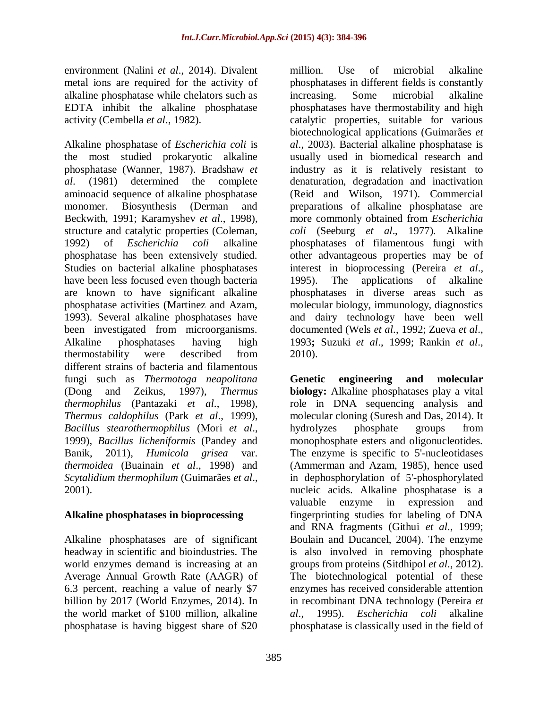environment (Nalini *et al*., 2014). Divalent metal ions are required for the activity of alkaline phosphatase while chelators such as EDTA inhibit the alkaline phosphatase activity (Cembella *et al*., 1982).

Alkaline phosphatase of *Escherichia coli* is the most studied prokaryotic alkaline phosphatase (Wanner, 1987). Bradshaw *et al*. (1981) determined the complete aminoacid sequence of alkaline phosphatase monomer. Biosynthesis (Derman and Beckwith, 1991; Karamyshev *et al*., 1998), structure and catalytic properties (Coleman, 1992) of *Escherichia coli* alkaline phosphatase has been extensively studied. Studies on bacterial alkaline phosphatases have been less focused even though bacteria are known to have significant alkaline phosphatase activities (Martinez and Azam, 1993). Several alkaline phosphatases have been investigated from microorganisms. Alkaline phosphatases having high thermostability were described from different strains of bacteria and filamentous fungi such as *Thermotoga neapolitana* (Dong and Zeikus, 1997), *Thermus thermophilus* (Pantazaki *et al*., 1998), *Thermus caldophilus* (Park *et al*., 1999), *Bacillus stearothermophilus* (Mori *et al*., 1999), *Bacillus licheniformis* (Pandey and Banik, 2011), *Humicola grisea* var. *thermoidea* (Buainain *et al*., 1998) and *Scytalidium thermophilum* (Guimarães *et al*., 2001).

## **Alkaline phosphatases in bioprocessing**

Alkaline phosphatases are of significant headway in scientific and bioindustries. The world enzymes demand is increasing at an Average Annual Growth Rate (AAGR) of 6.3 percent, reaching a value of nearly \$7 billion by 2017 (World Enzymes, 2014). In the world market of \$100 million, alkaline phosphatase is having biggest share of \$20

million. Use of microbial alkaline phosphatases in different fields is constantly increasing. Some microbial alkaline phosphatases have thermostability and high catalytic properties, suitable for various biotechnological applications (Guimarães *et al*., 2003). Bacterial alkaline phosphatase is usually used in biomedical research and industry as it is relatively resistant to denaturation, degradation and inactivation (Reid and Wilson, 1971). Commercial preparations of alkaline phosphatase are more commonly obtained from *Escherichia coli* (Seeburg *et al*., 1977). Alkaline phosphatases of filamentous fungi with other advantageous properties may be of interest in bioprocessing (Pereira *et al*., 1995). The applications of alkaline phosphatases in diverse areas such as molecular biology, immunology, diagnostics and dairy technology have been well documented (Wels *et al*., 1992; Zueva *et al*., 1993**;** Suzuki *et al*., 1999; Rankin *et al*., 2010).

**Genetic engineering and molecular biology:** Alkaline phosphatases play a vital role in DNA sequencing analysis and molecular cloning (Suresh and Das, 2014). It hydrolyzes phosphate groups from monophosphate esters and oligonucleotides. The enzyme is specific to 5'-nucleotidases (Ammerman and Azam, 1985), hence used in dephosphorylation of 5'-phosphorylated nucleic acids. Alkaline phosphatase is a valuable enzyme in expression and fingerprinting studies for labeling of DNA and RNA fragments (Githui *et al*., 1999; Boulain and Ducancel, 2004). The enzyme is also involved in removing phosphate groups from proteins (Sitdhipol *et al*., 2012). The biotechnological potential of these enzymes has received considerable attention in recombinant DNA technology (Pereira *et al*., 1995). *Escherichia coli* alkaline phosphatase is classically used in the field of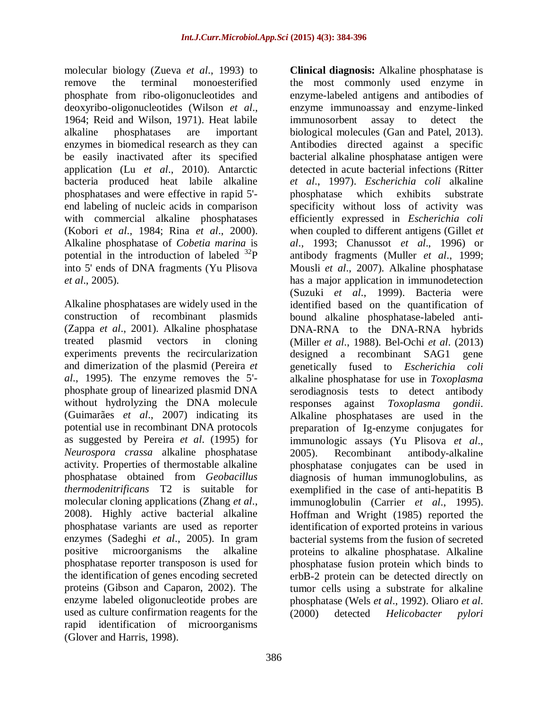molecular biology (Zueva *et al*., 1993) to remove the terminal monoesterified phosphate from ribo-oligonucleotides and deoxyribo-oligonucleotides (Wilson *et al*., 1964; Reid and Wilson, 1971). Heat labile alkaline phosphatases are important enzymes in biomedical research as they can be easily inactivated after its specified application (Lu *et al*., 2010). Antarctic bacteria produced heat labile alkaline phosphatases and were effective in rapid 5' end labeling of nucleic acids in comparison with commercial alkaline phosphatases (Kobori *et al*., 1984; Rina *et al*., 2000). Alkaline phosphatase of *Cobetia marina* is potential in the introduction of labeled  $^{32}P$ into 5' ends of DNA fragments (Yu Plisova *et al*., 2005).

Alkaline phosphatases are widely used in the construction of recombinant plasmids (Zappa *et al*., 2001). Alkaline phosphatase treated plasmid vectors in cloning experiments prevents the recircularization and dimerization of the plasmid (Pereira *et al*., 1995). The enzyme removes the 5' phosphate group of linearized plasmid DNA without hydrolyzing the DNA molecule (Guimarães *et al*., 2007) indicating its potential use in recombinant DNA protocols as suggested by Pereira *et al*. (1995) for *Neurospora crassa* alkaline phosphatase activity. Properties of thermostable alkaline phosphatase obtained from *Geobacillus thermodenitrificans* T2 is suitable for molecular cloning applications (Zhang *et al*., 2008). Highly active bacterial alkaline phosphatase variants are used as reporter enzymes (Sadeghi *et al*., 2005). In gram positive microorganisms the alkaline phosphatase reporter transposon is used for the identification of genes encoding secreted proteins (Gibson and Caparon, 2002). The enzyme labeled oligonucleotide probes are used as culture confirmation reagents for the rapid identification of microorganisms (Glover and Harris, 1998).

**Clinical diagnosis:** Alkaline phosphatase is the most commonly used enzyme in enzyme-labeled antigens and antibodies of enzyme immunoassay and enzyme-linked immunosorbent assay to detect the biological molecules (Gan and Patel, 2013). Antibodies directed against a specific bacterial alkaline phosphatase antigen were detected in acute bacterial infections (Ritter *et al*., 1997). *Escherichia coli* alkaline phosphatase which exhibits substrate specificity without loss of activity was efficiently expressed in *Escherichia coli* when coupled to different antigens (Gillet *et al*., 1993; Chanussot *et al*., 1996) or antibody fragments (Muller *et al*., 1999; Mousli *et al*., 2007). Alkaline phosphatase has a major application in immunodetection (Suzuki *et al*., 1999). Bacteria were identified based on the quantification of bound alkaline phosphatase-labeled anti-DNA-RNA to the DNA-RNA hybrids (Miller *et al*., 1988). Bel-Ochi *et al*. (2013) designed a recombinant SAG1 gene genetically fused to *Escherichia coli* alkaline phosphatase for use in *Toxoplasma* serodiagnosis tests to detect antibody responses against *Toxoplasma gondii*. Alkaline phosphatases are used in the preparation of Ig-enzyme conjugates for immunologic assays (Yu Plisova *et al*., 2005). Recombinant antibody-alkaline phosphatase conjugates can be used in diagnosis of human immunoglobulins, as exemplified in the case of anti-hepatitis B immunoglobulin (Carrier *et al*., 1995). Hoffman and Wright (1985) reported the identification of exported proteins in various bacterial systems from the fusion of secreted proteins to alkaline phosphatase. Alkaline phosphatase fusion protein which binds to erbB-2 protein can be detected directly on tumor cells using a substrate for alkaline phosphatase (Wels *et al*., 1992). Oliaro *et al*. (2000) detected *Helicobacter pylori*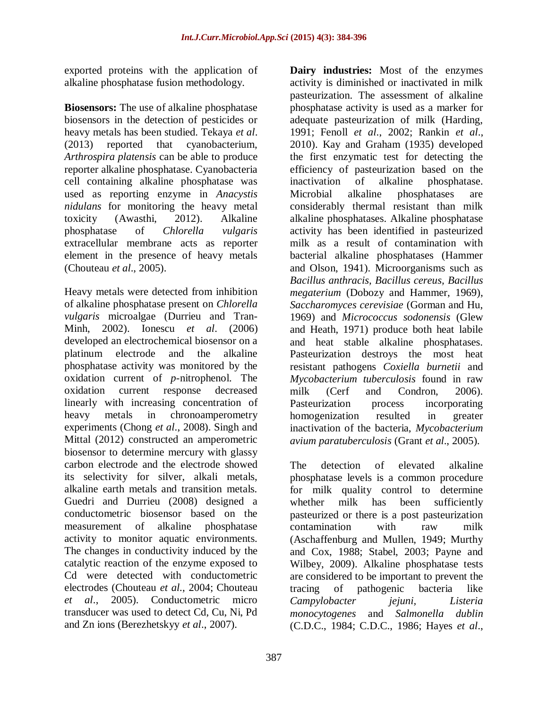exported proteins with the application of alkaline phosphatase fusion methodology.

**Biosensors:** The use of alkaline phosphatase biosensors in the detection of pesticides or heavy metals has been studied. Tekaya *et al*. (2013) reported that cyanobacterium, *Arthrospira platensis* can be able to produce reporter alkaline phosphatase. Cyanobacteria cell containing alkaline phosphatase was used as reporting enzyme in *Anacystis nidulans* for monitoring the heavy metal toxicity (Awasthi, 2012). Alkaline phosphatase of *Chlorella vulgaris* extracellular membrane acts as reporter element in the presence of heavy metals (Chouteau *et al*., 2005).

Heavy metals were detected from inhibition of alkaline phosphatase present on *Chlorella vulgaris* microalgae (Durrieu and Tran-Minh, 2002). Ionescu *et al*. (2006) developed an electrochemical biosensor on a platinum electrode and the alkaline phosphatase activity was monitored by the oxidation current of *p*-nitrophenol. The oxidation current response decreased linearly with increasing concentration of heavy metals in chronoamperometry experiments (Chong *et al*., 2008). Singh and Mittal (2012) constructed an amperometric biosensor to determine mercury with glassy carbon electrode and the electrode showed its selectivity for silver, alkali metals, alkaline earth metals and transition metals. Guedri and Durrieu (2008) designed a conductometric biosensor based on the measurement of alkaline phosphatase activity to monitor aquatic environments. The changes in conductivity induced by the catalytic reaction of the enzyme exposed to Cd were detected with conductometric electrodes (Chouteau *et al*., 2004; Chouteau *et al*., 2005). Conductometric micro transducer was used to detect Cd, Cu, Ni, Pd and Zn ions (Berezhetskyy *et al*., 2007).

387

**Dairy industries:** Most of the enzymes activity is diminished or inactivated in milk pasteurization. The assessment of alkaline phosphatase activity is used as a marker for adequate pasteurization of milk (Harding, 1991; Fenoll *et al*., 2002; Rankin *et al*., 2010). Kay and Graham (1935) developed the first enzymatic test for detecting the efficiency of pasteurization based on the inactivation of alkaline phosphatase. Microbial alkaline phosphatases are considerably thermal resistant than milk alkaline phosphatases. Alkaline phosphatase activity has been identified in pasteurized milk as a result of contamination with bacterial alkaline phosphatases (Hammer and Olson, 1941). Microorganisms such as *Bacillus anthracis, Bacillus cereus, Bacillus megaterium* (Dobozy and Hammer, 1969), *Saccharomyces cerevisiae* (Gorman and Hu, 1969) and *Micrococcus sodonensis* (Glew and Heath, 1971) produce both heat labile and heat stable alkaline phosphatases. Pasteurization destroys the most heat resistant pathogens *Coxiella burnetii* and *Mycobacterium tuberculosis* found in raw milk (Cerf and Condron, 2006). Pasteurization process incorporating homogenization resulted in greater inactivation of the bacteria, *Mycobacterium avium paratuberculosis* (Grant *et al*., 2005).

The detection of elevated alkaline phosphatase levels is a common procedure for milk quality control to determine whether milk has been sufficiently pasteurized or there is a post pasteurization contamination with raw milk (Aschaffenburg and Mullen, 1949; Murthy and Cox, 1988; Stabel, 2003; Payne and Wilbey, 2009). Alkaline phosphatase tests are considered to be important to prevent the tracing of pathogenic bacteria like *Campylobacter jejuni, Listeria monocytogenes* and *Salmonella dublin* (C.D.C., 1984; C.D.C., 1986; Hayes *et al*.,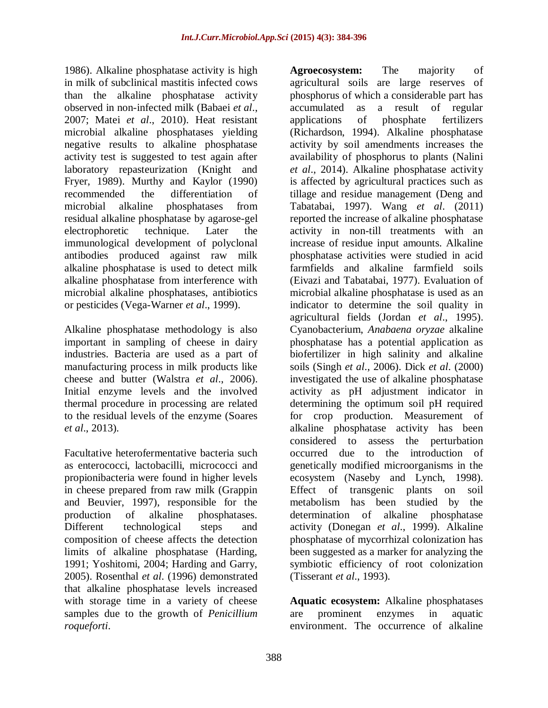1986). Alkaline phosphatase activity is high in milk of subclinical mastitis infected cows than the alkaline phosphatase activity observed in non-infected milk (Babaei *et al*., 2007; Matei *et al*., 2010). Heat resistant microbial alkaline phosphatases yielding negative results to alkaline phosphatase activity test is suggested to test again after laboratory repasteurization (Knight and Fryer, 1989). Murthy and Kaylor (1990) recommended the differentiation of microbial alkaline phosphatases from residual alkaline phosphatase by agarose-gel electrophoretic technique. Later the immunological development of polyclonal antibodies produced against raw milk alkaline phosphatase is used to detect milk alkaline phosphatase from interference with microbial alkaline phosphatases, antibiotics or pesticides (Vega-Warner *et al*., 1999).

Alkaline phosphatase methodology is also important in sampling of cheese in dairy industries. Bacteria are used as a part of manufacturing process in milk products like cheese and butter (Walstra *et al*., 2006). Initial enzyme levels and the involved thermal procedure in processing are related to the residual levels of the enzyme (Soares *et al*., 2013).

Facultative heterofermentative bacteria such as enterococci, lactobacilli, micrococci and propionibacteria were found in higher levels in cheese prepared from raw milk (Grappin and Beuvier, 1997), responsible for the production of alkaline phosphatases. Different technological steps and composition of cheese affects the detection limits of alkaline phosphatase (Harding, 1991; Yoshitomi, 2004; Harding and Garry, 2005). Rosenthal *et al*. (1996) demonstrated that alkaline phosphatase levels increased with storage time in a variety of cheese samples due to the growth of *Penicillium roqueforti*.

**Agroecosystem:** The majority of agricultural soils are large reserves of phosphorus of which a considerable part has accumulated as a result of regular applications of phosphate fertilizers (Richardson, 1994). Alkaline phosphatase activity by soil amendments increases the availability of phosphorus to plants (Nalini *et al*., 2014). Alkaline phosphatase activity is affected by agricultural practices such as tillage and residue management (Deng and Tabatabai, 1997). Wang *et al*. (2011) reported the increase of alkaline phosphatase activity in non-till treatments with an increase of residue input amounts. Alkaline phosphatase activities were studied in acid farmfields and alkaline farmfield soils (Eivazi and Tabatabai, 1977). Evaluation of microbial alkaline phosphatase is used as an indicator to determine the soil quality in agricultural fields (Jordan *et al*., 1995). Cyanobacterium, *Anabaena oryzae* alkaline phosphatase has a potential application as biofertilizer in high salinity and alkaline soils (Singh *et al*., 2006). Dick *et al*. (2000) investigated the use of alkaline phosphatase activity as pH adjustment indicator in determining the optimum soil pH required for crop production. Measurement of alkaline phosphatase activity has been considered to assess the perturbation occurred due to the introduction of genetically modified microorganisms in the ecosystem (Naseby and Lynch, 1998). Effect of transgenic plants on soil metabolism has been studied by the determination of alkaline phosphatase activity (Donegan *et al*., 1999). Alkaline phosphatase of mycorrhizal colonization has been suggested as a marker for analyzing the symbiotic efficiency of root colonization (Tisserant *et al*., 1993).

**Aquatic ecosystem:** Alkaline phosphatases are prominent enzymes in aquatic environment. The occurrence of alkaline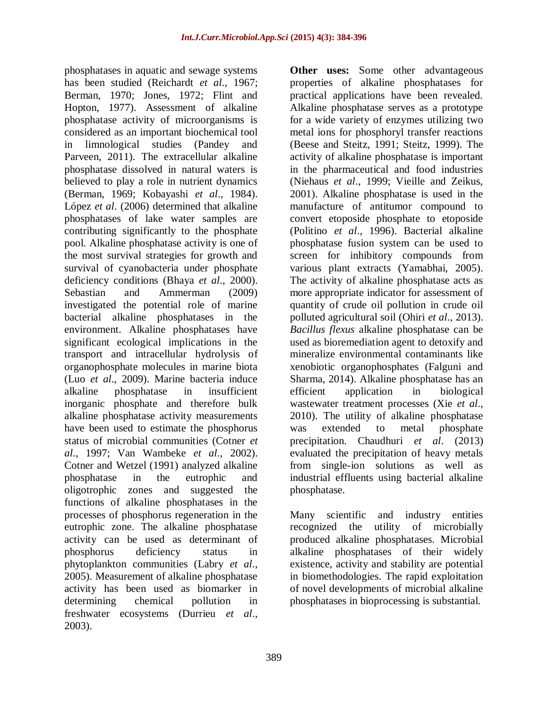phosphatases in aquatic and sewage systems has been studied (Reichardt *et al*., 1967; Berman, 1970; Jones, 1972; Flint and Hopton, 1977). Assessment of alkaline phosphatase activity of microorganisms is considered as an important biochemical tool in limnological studies (Pandey and Parveen, 2011). The extracellular alkaline phosphatase dissolved in natural waters is believed to play a role in nutrient dynamics (Berman, 1969; Kobayashi *et al*., 1984). López *et al*. (2006) determined that alkaline phosphatases of lake water samples are contributing significantly to the phosphate pool. Alkaline phosphatase activity is one of the most survival strategies for growth and survival of cyanobacteria under phosphate deficiency conditions (Bhaya *et al*., 2000). Sebastian and Ammerman (2009) investigated the potential role of marine bacterial alkaline phosphatases in the environment. Alkaline phosphatases have significant ecological implications in the transport and intracellular hydrolysis of organophosphate molecules in marine biota (Luo *et al*., 2009). Marine bacteria induce alkaline phosphatase in insufficient inorganic phosphate and therefore bulk alkaline phosphatase activity measurements have been used to estimate the phosphorus status of microbial communities (Cotner *et al*., 1997; Van Wambeke *et al*., 2002). Cotner and Wetzel (1991) analyzed alkaline phosphatase in the eutrophic and oligotrophic zones and suggested the functions of alkaline phosphatases in the processes of phosphorus regeneration in the eutrophic zone. The alkaline phosphatase activity can be used as determinant of phosphorus deficiency status in phytoplankton communities (Labry *et al*., 2005). Measurement of alkaline phosphatase activity has been used as biomarker in determining chemical pollution in freshwater ecosystems (Durrieu *et al*., 2003).

**Other uses:** Some other advantageous properties of alkaline phosphatases for practical applications have been revealed. Alkaline phosphatase serves as a prototype for a wide variety of enzymes utilizing two metal ions for phosphoryl transfer reactions (Beese and Steitz, 1991; Steitz, 1999). The activity of alkaline phosphatase is important in the pharmaceutical and food industries (Niehaus *et al*., 1999; Vieille and Zeikus, 2001). Alkaline phosphatase is used in the manufacture of antitumor compound to convert etoposide phosphate to etoposide (Politino *et al*., 1996). Bacterial alkaline phosphatase fusion system can be used to screen for inhibitory compounds from various plant extracts (Yamabhai, 2005). The activity of alkaline phosphatase acts as more appropriate indicator for assessment of quantity of crude oil pollution in crude oil polluted agricultural soil (Ohiri *et al*., 2013). *Bacillus flexus* alkaline phosphatase can be used as bioremediation agent to detoxify and mineralize environmental contaminants like xenobiotic organophosphates (Falguni and Sharma, 2014). Alkaline phosphatase has an efficient application in biological wastewater treatment processes (Xie *et al*., 2010). The utility of alkaline phosphatase was extended to metal phosphate precipitation. Chaudhuri *et al*. (2013) evaluated the precipitation of heavy metals from single-ion solutions as well as industrial effluents using bacterial alkaline phosphatase.

Many scientific and industry entities recognized the utility of microbially produced alkaline phosphatases. Microbial alkaline phosphatases of their widely existence, activity and stability are potential in biomethodologies. The rapid exploitation of novel developments of microbial alkaline phosphatases in bioprocessing is substantial.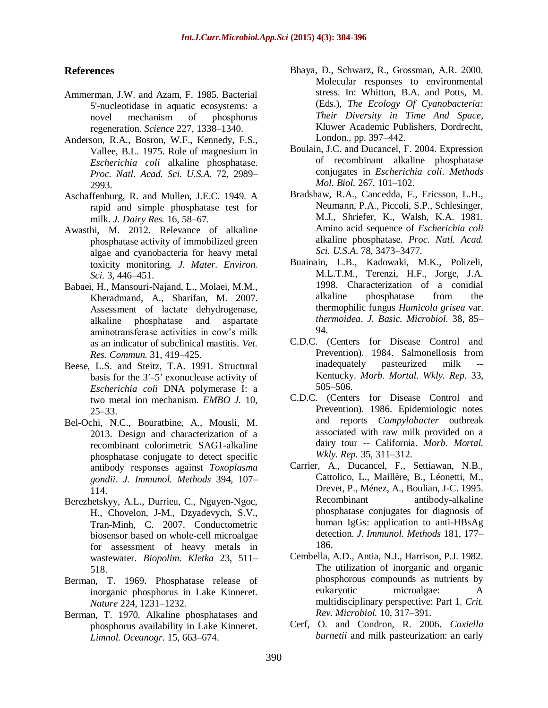### **References**

- Ammerman, J.W. and Azam, F. 1985. Bacterial 5'-nucleotidase in aquatic ecosystems: a novel mechanism of phosphorus regeneration. *Science* 227, 1338–1340.
- Anderson, R.A., Bosron, W.F., Kennedy, F.S., Vallee, B.L. 1975. Role of magnesium in *Escherichia coli* alkaline phosphatase. *Proc. Natl. Acad. Sci. U.S.A.* 72, 2989– 2993.
- Aschaffenburg, R. and Mullen, J.E.C. 1949. A rapid and simple phosphatase test for milk. *J. Dairy Res.* 16, 58–67.
- Awasthi, M. 2012. Relevance of alkaline phosphatase activity of immobilized green algae and cyanobacteria for heavy metal toxicity monitoring. *J. Mater. Environ. Sci.* 3, 446–451.
- Babaei, H., Mansouri-Najand, L., Molaei, M.M., Kheradmand, A., Sharifan, M. 2007. Assessment of lactate dehydrogenase, alkaline phosphatase and aspartate aminotransferase activities in cow's milk as an indicator of subclinical mastitis. *Vet. Res. Commun.* 31, 419–425.
- Beese, L.S. and Steitz, T.A. 1991. Structural basis for the 3′–5′ exonuclease activity of *Escherichia coli* DNA polymerase I: a two metal ion mechanism. *EMBO J.* 10, 25–33.
- Bel-Ochi, N.C., Bouratbine, A., Mousli, M. 2013. Design and characterization of a recombinant colorimetric SAG1-alkaline phosphatase conjugate to detect specific antibody responses against *Toxoplasma gondii*. *J. Immunol. Methods* 394, 107– 114.
- Berezhetskyy, A.L., Durrieu, C., Nguyen-Ngoc, H., Chovelon, J-M., Dzyadevych, S.V., Tran-Minh, C. 2007. Conductometric biosensor based on whole-cell microalgae for assessment of heavy metals in wastewater. *Biopolim. Kletka* 23, 511– 518.
- Berman, T. 1969. Phosphatase release of inorganic phosphorus in Lake Kinneret. *Nature* 224, 1231–1232.
- Berman, T. 1970. Alkaline phosphatases and phosphorus availability in Lake Kinneret. *Limnol. Oceanogr.* 15, 663–674.
- Bhaya, D., Schwarz, R., Grossman, A.R. 2000. Molecular responses to environmental stress. In: Whitton, B.A. and Potts, M. (Eds.), *The Ecology Of Cyanobacteria: Their Diversity in Time And Space*, Kluwer Academic Publishers, Dordrecht, London., pp. 397–442.
- Boulain, J.C. and Ducancel, F. 2004. Expression of recombinant alkaline phosphatase conjugates in *Escherichia coli*. *Methods Mol. Biol.* 267, 101–102.
- Bradshaw, R.A., Cancedda, F., Ericsson, L.H., Neumann, P.A., Piccoli, S.P., Schlesinger, M.J., Shriefer, K., Walsh, K.A. 1981. Amino acid sequence of *Escherichia coli* alkaline phosphatase. *Proc. Natl. Acad. Sci. U.S.A*. 78, 3473–3477.
- Buainain, L.B., Kadowaki, M.K., Polizeli, M.L.T.M., Terenzi, H.F., Jorge, J.A. 1998. Characterization of a conidial alkaline phosphatase from the thermophilic fungus *Humicola grisea* var. *thermoidea*. *J. Basic. Microbiol.* 38, 85– 94.
- C.D.C. (Centers for Disease Control and Prevention). 1984. Salmonellosis from inadequately pasteurized milk -- Kentucky. *Morb. Mortal. Wkly. Rep.* 33, 505–506.
- C.D.C. (Centers for Disease Control and Prevention). 1986. Epidemiologic notes and reports *Campylobacter* outbreak associated with raw milk provided on a dairy tour -- California. *Morb. Mortal. Wkly. Rep.* 35, 311–312.
- Carrier, A., Ducancel, F., Settiawan, N.B., Cattolico, L., Maillère, B., Léonetti, M., Drevet, P., Ménez, A., Boulian, J-C. 1995. Recombinant antibody-alkaline phosphatase conjugates for diagnosis of human IgGs: application to anti-HBsAg detection. *J. Immunol. Methods* 181, 177– 186.
- Cembella, A.D., Antia, N.J., Harrison, P.J. 1982. The utilization of inorganic and organic phosphorous compounds as nutrients by eukaryotic microalgae: A multidisciplinary perspective: Part 1. *Crit. Rev. Microbiol.* 10, 317–391.
- Cerf, O. and Condron, R. 2006. *Coxiella burnetii* and milk pasteurization: an early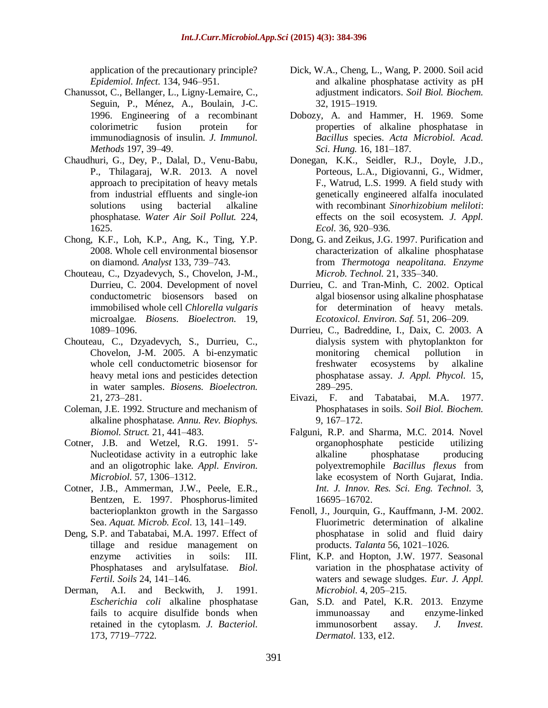application of the precautionary principle? *Epidemiol. Infect.* 134, 946–951.

- Chanussot, C., Bellanger, L., Ligny-Lemaire, C., Seguin, P., Ménez, A., Boulain, J-C. 1996. Engineering of a recombinant colorimetric fusion protein for immunodiagnosis of insulin. *J. Immunol. Methods* 197, 39–49.
- Chaudhuri, G., Dey, P., Dalal, D., Venu-Babu, P., Thilagaraj, W.R. 2013. A novel approach to precipitation of heavy metals from industrial effluents and single-ion solutions using bacterial alkaline phosphatase. *Water Air Soil Pollut.* 224, 1625.
- Chong, K.F., Loh, K.P., Ang, K., Ting, Y.P. 2008. Whole cell environmental biosensor on diamond. *Analyst* 133, 739–743.
- Chouteau, C., Dzyadevych, S., Chovelon, J-M., Durrieu, C. 2004. Development of novel conductometric biosensors based on immobilised whole cell *Chlorella vulgaris*  microalgae. *Biosens. Bioelectron.* 19, 1089–1096.
- Chouteau, C., Dzyadevych, S., Durrieu, C., Chovelon, J-M. 2005. A bi-enzymatic whole cell conductometric biosensor for heavy metal ions and pesticides detection in water samples. *Biosens. Bioelectron.* 21, 273–281.
- Coleman, J.E. 1992. Structure and mechanism of alkaline phosphatase. *Annu. Rev. Biophys. Biomol. Struct.* 21, 441–483.
- Cotner, J.B. and Wetzel, R.G. 1991. 5'- Nucleotidase activity in a eutrophic lake and an oligotrophic lake. *Appl. Environ. Microbiol.* 57, 1306–1312.
- Cotner, J.B., Ammerman, J.W., Peele, E.R., Bentzen, E. 1997. Phosphorus-limited bacterioplankton growth in the Sargasso Sea. *Aquat. Microb. Ecol.* 13, 141–149.
- Deng, S.P. and Tabatabai, M.A. 1997. Effect of tillage and residue management on enzyme activities in soils: III. Phosphatases and arylsulfatase. *Biol. Fertil. Soils* 24, 141–146.
- Derman, A.I. and Beckwith, J. 1991. *Escherichia coli* alkaline phosphatase fails to acquire disulfide bonds when retained in the cytoplasm. *J. Bacteriol.* 173, 7719–7722.
- Dick, W.A., Cheng, L., Wang, P. 2000. Soil acid and alkaline phosphatase activity as pH adjustment indicators. *Soil Biol. Biochem.* 32, 1915–1919.
- Dobozy, A. and Hammer, H. 1969. Some properties of alkaline phosphatase in *Bacillus* species. *Acta Microbiol. Acad. Sci. Hung.* 16, 181–187.
- Donegan, K.K., Seidler, R.J., Doyle, J.D., Porteous, L.A., Digiovanni, G., Widmer, F., Watrud, L.S. 1999. A field study with genetically engineered alfalfa inoculated with recombinant *Sinorhizobium meliloti*: effects on the soil ecosystem. *J. Appl. Ecol.* 36, 920–936.
- Dong, G. and Zeikus, J.G. 1997. Purification and characterization of alkaline phosphatase from *Thermotoga neapolitana*. *Enzyme Microb. Technol.* 21, 335–340.
- Durrieu, C. and Tran-Minh, C. 2002. Optical algal biosensor using alkaline phosphatase for determination of heavy metals. *Ecotoxicol. Environ. Saf.* 51, 206–209.
- Durrieu, C., Badreddine, I., Daix, C. 2003. A dialysis system with phytoplankton for monitoring chemical pollution in freshwater ecosystems by alkaline phosphatase assay. *J. Appl. Phycol.* 15, 289–295.
- Eivazi, F. and Tabatabai, M.A. 1977. Phosphatases in soils. *Soil Biol. Biochem.* 9, 167–172.
- Falguni, R.P. and Sharma, M.C. 2014. Novel organophosphate pesticide utilizing alkaline phosphatase producing polyextremophile *Bacillus flexus* from lake ecosystem of North Gujarat, India. *Int. J. Innov. Res. Sci. Eng. Technol.* 3, 16695–16702.
- Fenoll, J., Jourquin, G., Kauffmann, J-M. 2002. Fluorimetric determination of alkaline phosphatase in solid and fluid dairy products. *Talanta* 56, 1021–1026.
- Flint, K.P. and Hopton, J.W. 1977. Seasonal variation in the phosphatase activity of waters and sewage sludges. *Eur. J. Appl. Microbiol.* 4, 205–215.
- Gan, S.D. and Patel, K.R. 2013. Enzyme immunoassay and enzyme-linked immunosorbent assay. *J. Invest. Dermatol.* 133, e12.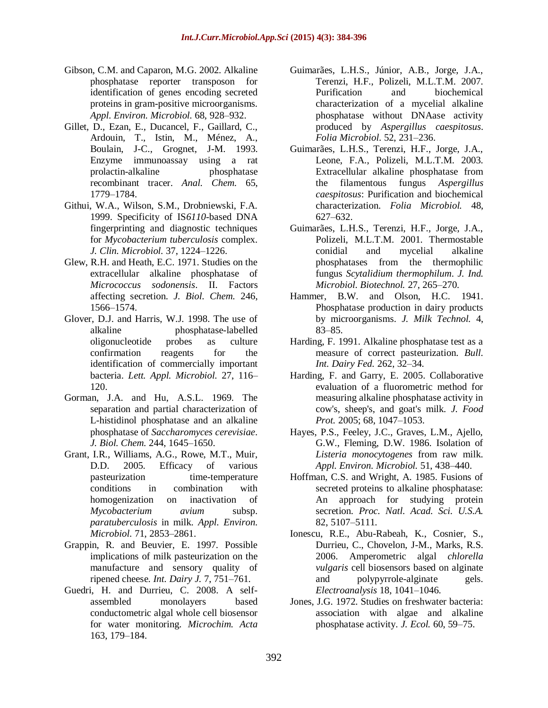- Gibson, C.M. and Caparon, M.G. 2002. Alkaline phosphatase reporter transposon for identification of genes encoding secreted proteins in gram-positive microorganisms. *Appl. Environ. Microbiol.* 68, 928–932.
- Gillet, D., Ezan, E., Ducancel, F., Gaillard, C., Ardouin, T., Istin, M., Ménez, A., Boulain, J-C., Grognet, J-M. 1993. Enzyme immunoassay using a rat prolactin-alkaline phosphatase recombinant tracer. *Anal. Chem.* 65, 1779–1784.
- Githui, W.A., Wilson, S.M., Drobniewski, F.A. 1999. Specificity of IS*6110*-based DNA fingerprinting and diagnostic techniques for *Mycobacterium tuberculosis* complex. *J. Clin. Microbiol.* 37, 1224–1226.
- Glew, R.H. and Heath, E.C. 1971. Studies on the extracellular alkaline phosphatase of *Micrococcus sodonensis*. II. Factors affecting secretion. *J. Biol. Chem.* 246, 1566–1574.
- Glover, D.J. and Harris, W.J. 1998. The use of alkaline phosphatase-labelled oligonucleotide probes as culture confirmation reagents for the identification of commercially important bacteria. *Lett. Appl. Microbiol.* 27, 116– 120.
- Gorman, J.A. and Hu, A.S.L. 1969. The separation and partial characterization of L-histidinol phosphatase and an alkaline phosphatase of *Saccharomyces cerevisiae*. *J. Biol. Chem.* 244, 1645–1650.
- Grant, I.R., Williams, A.G., Rowe, M.T., Muir, D.D. 2005. Efficacy of various pasteurization time-temperature conditions in combination with homogenization on inactivation of *Mycobacterium avium* subsp. *paratuberculosis* in milk. *Appl. Environ. Microbiol.* 71, 2853–2861.
- Grappin, R. and Beuvier, E. 1997. Possible implications of milk pasteurization on the manufacture and sensory quality of ripened cheese. *Int. Dairy J.* 7, 751–761.
- Guedri, H. and Durrieu, C. 2008. A selfassembled monolayers based conductometric algal whole cell biosensor for water monitoring. *Microchim. Acta* 163, 179–184.
- Guimarães, L.H.S., Júnior, A.B., Jorge, J.A., Terenzi, H.F., Polizeli, M.L.T.M. 2007. Purification and biochemical characterization of a mycelial alkaline phosphatase without DNAase activity produced by *Aspergillus caespitosus*. *Folia Microbiol*. 52, 231–236.
- Guimarães, L.H.S., Terenzi, H.F., Jorge, J.A., Leone, F.A., Polizeli, M.L.T.M. 2003. Extracellular alkaline phosphatase from the filamentous fungus *Aspergillus caespitosus*: Purification and biochemical characterization. *Folia Microbiol.* 48, 627–632.
- Guimarães, L.H.S., Terenzi, H.F., Jorge, J.A., Polizeli, M.L.T.M. 2001. Thermostable conidial and mycelial alkaline phosphatases from the thermophilic fungus *Scytalidium thermophilum*. *J. Ind. Microbiol. Biotechnol.* 27, 265–270.
- Hammer, B.W. and Olson, H.C. 1941. Phosphatase production in dairy products by microorganisms. *J. Milk Technol.* 4, 83–85.
- Harding, F. 1991. Alkaline phosphatase test as a measure of correct pasteurization. *Bull. Int. Dairy Fed.* 262, 32–34.
- Harding, F. and Garry, E. 2005. Collaborative evaluation of a fluorometric method for measuring alkaline phosphatase activity in cow's, sheep's, and goat's milk. *J. Food Prot.* 2005; 68, 1047–1053.
- Hayes, P.S., Feeley, J.C., Graves, L.M., Ajello, G.W., Fleming, D.W. 1986. Isolation of *Listeria monocytogenes* from raw milk. *Appl. Environ. Microbiol.* 51, 438–440.
- Hoffman, C.S. and Wright, A. 1985. Fusions of secreted proteins to alkaline phosphatase: An approach for studying protein secretion. *Proc. Natl. Acad. Sci. U.S.A.* 82, 5107–5111.
- Ionescu, R.E., Abu-Rabeah, K., Cosnier, S., Durrieu, C., Chovelon, J-M., Marks, R.S. 2006. Amperometric algal *chlorella vulgaris* cell biosensors based on alginate and polypyrrole-alginate gels. *Electroanalysis* 18, 1041–1046.
- Jones, J.G. 1972. Studies on freshwater bacteria: association with algae and alkaline phosphatase activity. *J. Ecol.* 60, 59–75.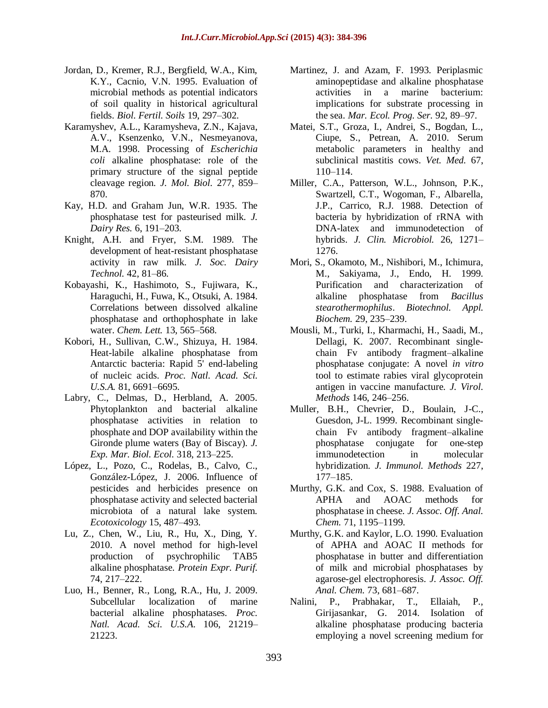- Jordan, D., Kremer, R.J., Bergfield, W.A., Kim, K.Y., Cacnio, V.N. 1995. Evaluation of microbial methods as potential indicators of soil quality in historical agricultural fields. *Biol. Fertil. Soils* 19, 297–302.
- Karamyshev, A.L., Karamysheva, Z.N., Kajava, A.V., Ksenzenko, V.N., Nesmeyanova, M.A. 1998. Processing of *Escherichia coli* alkaline phosphatase: role of the primary structure of the signal peptide cleavage region. *J. Mol. Biol.* 277, 859– 870.
- Kay, H.D. and Graham Jun, W.R. 1935. The phosphatase test for pasteurised milk. *J. Dairy Res.* 6, 191–203.
- Knight, A.H. and Fryer, S.M. 1989. The development of heat-resistant phosphatase activity in raw milk. *J. Soc. Dairy Technol.* 42, 81–86.
- Kobayashi, K., Hashimoto, S., Fujiwara, K., Haraguchi, H., Fuwa, K., Otsuki, A. 1984. Correlations between dissolved alkaline phosphatase and orthophosphate in lake water. *Chem. Lett.* 13, 565–568.
- Kobori, H., Sullivan, C.W., Shizuya, H. 1984. Heat-labile alkaline phosphatase from Antarctic bacteria: Rapid 5' end-labeling of nucleic acids. *Proc. Natl. Acad. Sci. U.S.A.* 81, 6691–6695.
- Labry, C., Delmas, D., Herbland, A. 2005. Phytoplankton and bacterial alkaline phosphatase activities in relation to phosphate and DOP availability within the Gironde plume waters (Bay of Biscay). *J. Exp. Mar. Biol. Ecol.* 318, 213–225.
- López, L., Pozo, C., Rodelas, B., Calvo, C., González-López, J. 2006. Influence of pesticides and herbicides presence on phosphatase activity and selected bacterial microbiota of a natural lake system. *Ecotoxicology* 15, 487–493.
- Lu, Z., Chen, W., Liu, R., Hu, X., Ding, Y. 2010. A novel method for high-level production of psychrophilic TAB5 alkaline phosphatase. *Protein Expr. Purif.* 74, 217–222.
- Luo, H., Benner, R., Long, R.A., Hu, J. 2009. Subcellular localization of marine bacterial alkaline phosphatases. *Proc. Natl. Acad. Sci. U.S.A*. 106, 21219– 21223.
- Martinez, J. and Azam, F. 1993. Periplasmic aminopeptidase and alkaline phosphatase activities in a marine bacterium: implications for substrate processing in the sea. *Mar. Ecol. Prog. Ser.* 92, 89–97.
- Matei, S.T., Groza, I., Andrei, S., Bogdan, L., Ciupe, S., Petrean, A. 2010. Serum metabolic parameters in healthy and subclinical mastitis cows. *Vet. Med.* 67, 110–114.
- Miller, C.A., Patterson, W.L., Johnson, P.K., Swartzell, C.T., Wogoman, F., Albarella, J.P., Carrico, R.J. 1988. Detection of bacteria by hybridization of rRNA with DNA-latex and immunodetection of hybrids. *J. Clin. Microbiol.* 26, 1271– 1276.
- Mori, S., Okamoto, M., Nishibori, M., Ichimura, M., Sakiyama, J., Endo, H. 1999. Purification and characterization of alkaline phosphatase from *Bacillus stearothermophilus*. *Biotechnol. Appl. Biochem.* 29, 235–239.
- Mousli, M., Turki, I., Kharmachi, H., Saadi, M., Dellagi, K. 2007. Recombinant singlechain Fv antibody fragment–alkaline phosphatase conjugate: A novel *in vitro* tool to estimate rabies viral glycoprotein antigen in vaccine manufacture. *J. Virol. Methods* 146, 246–256.
- Muller, B.H., Chevrier, D., Boulain, J-C., Guesdon, J-L. 1999. Recombinant singlechain Fv antibody fragment–alkaline phosphatase conjugate for one-step immunodetection in molecular hybridization. *J. Immunol. Methods* 227, 177–185.
- Murthy, G.K. and Cox, S. 1988. Evaluation of APHA and AOAC methods for phosphatase in cheese. *J. Assoc. Off. Anal. Chem.* 71, 1195–1199.
- Murthy, G.K. and Kaylor, L.O. 1990. Evaluation of APHA and AOAC II methods for phosphatase in butter and differentiation of milk and microbial phosphatases by agarose-gel electrophoresis. *J. Assoc. Off. Anal. Chem.* 73, 681–687.
- Nalini, P., Prabhakar, T., Ellaiah, P., Girijasankar, G. 2014. Isolation of alkaline phosphatase producing bacteria employing a novel screening medium for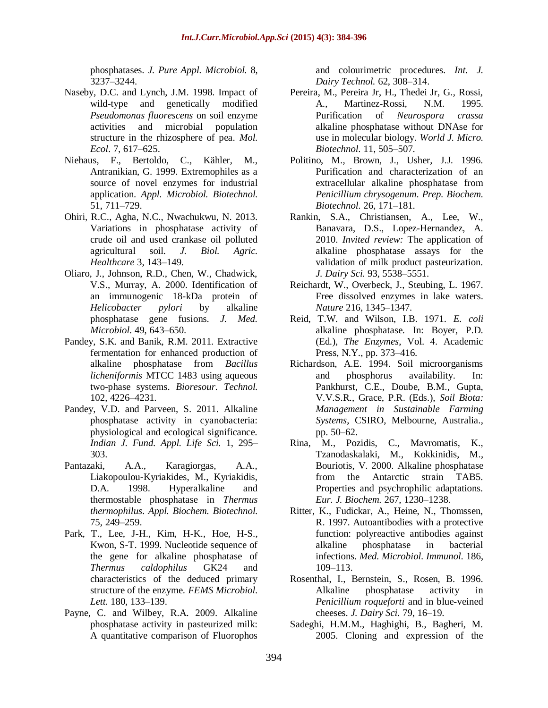phosphatases. *J. Pure Appl. Microbiol.* 8, 3237–3244.

- Naseby, D.C. and Lynch, J.M. 1998. Impact of wild-type and genetically modified *Pseudomonas fluorescens* on soil enzyme activities and microbial population structure in the rhizosphere of pea. *Mol. Ecol*. 7, 617–625.
- Niehaus, F., Bertoldo, C., Kähler, M., Antranikian, G. 1999. Extremophiles as a source of novel enzymes for industrial application. *Appl. Microbiol. Biotechnol.* 51, 711–729.
- Ohiri, R.C., Agha, N.C., Nwachukwu, N. 2013. Variations in phosphatase activity of crude oil and used crankase oil polluted agricultural soil. *J. Biol. Agric. Healthcare* 3, 143–149.
- Oliaro, J., Johnson, R.D., Chen, W., Chadwick, V.S., Murray, A. 2000. Identification of an immunogenic 18-kDa protein of *Helicobacter pylori* by alkaline phosphatase gene fusions. *J. Med. Microbiol.* 49, 643–650.
- Pandey, S.K. and Banik, R.M. 2011. Extractive fermentation for enhanced production of alkaline phosphatase from *Bacillus licheniformis* MTCC 1483 using aqueous two-phase systems. *Bioresour. Technol.* 102, 4226–4231.
- Pandey, V.D. and Parveen, S. 2011. Alkaline phosphatase activity in cyanobacteria: physiological and ecological significance. *Indian J. Fund. Appl. Life Sci.* 1, 295– 303.
- Pantazaki, A.A., Karagiorgas, A.A., Liakopoulou-Kyriakides, M., Kyriakidis, D.A. 1998. Hyperalkaline and thermostable phosphatase in *Thermus thermophilus*. *Appl. Biochem. Biotechnol.* 75, 249–259.
- Park, T., Lee, J-H., Kim, H-K., Hoe, H-S., Kwon, S-T. 1999. Nucleotide sequence of the gene for alkaline phosphatase of *Thermus caldophilus* GK24 and characteristics of the deduced primary structure of the enzyme. *FEMS Microbiol. Lett.* 180, 133–139.
- Payne, C. and Wilbey, R.A. 2009. Alkaline phosphatase activity in pasteurized milk: A quantitative comparison of Fluorophos

and colourimetric procedures. *Int. J. Dairy Technol.* 62, 308–314.

- Pereira, M., Pereira Jr, H., Thedei Jr, G., Rossi, A., Martinez-Rossi, N.M. 1995. Purification of *Neurospora crassa* alkaline phosphatase without DNAse for use in molecular biology. *World J. Micro. Biotechnol.* 11, 505–507.
- Politino, M., Brown, J., Usher, J.J. 1996. Purification and characterization of an extracellular alkaline phosphatase from *Penicillium chrysogenum*. *Prep. Biochem. Biotechnol.* 26, 171–181.
- Rankin, S.A., Christiansen, A., Lee, W., Banavara, D.S., Lopez-Hernandez, A. 2010. *Invited review:* The application of alkaline phosphatase assays for the validation of milk product pasteurization. *J. Dairy Sci.* 93, 5538–5551.
- Reichardt, W., Overbeck, J., Steubing, L. 1967. Free dissolved enzymes in lake waters. *Nature* 216, 1345–1347.
- Reid, T.W. and Wilson, I.B. 1971. *E. coli* alkaline phosphatase. In: Boyer, P.D. (Ed.), *The Enzymes*, Vol. 4. Academic Press, N.Y., pp. 373–416.
- Richardson, A.E. 1994. Soil microorganisms and phosphorus availability. In: Pankhurst, C.E., Doube, B.M., Gupta, V.V.S.R., Grace, P.R. (Eds.), *Soil Biota: Management in Sustainable Farming Systems*, CSIRO, Melbourne, Australia., pp. 50–62.
- Rina, M., Pozidis, C., Mavromatis, K., Tzanodaskalaki, M., Kokkinidis, M., Bouriotis, V. 2000. Alkaline phosphatase from the Antarctic strain TAB5. Properties and psychrophilic adaptations. *Eur. J. Biochem.* 267, 1230–1238.
- [Ritter, K.](http://www.ncbi.nlm.nih.gov/pubmed/?term=Ritter%20K%5BAuthor%5D&cauthor=true&cauthor_uid=9403838), [Fudickar, A.](http://www.ncbi.nlm.nih.gov/pubmed/?term=Fudickar%20A%5BAuthor%5D&cauthor=true&cauthor_uid=9403838), [Heine, N.](http://www.ncbi.nlm.nih.gov/pubmed/?term=Heine%20N%5BAuthor%5D&cauthor=true&cauthor_uid=9403838), [Thomssen,](http://www.ncbi.nlm.nih.gov/pubmed/?term=Thomssen%20R%5BAuthor%5D&cauthor=true&cauthor_uid=9403838)  [R.](http://www.ncbi.nlm.nih.gov/pubmed/?term=Thomssen%20R%5BAuthor%5D&cauthor=true&cauthor_uid=9403838) 1997. Autoantibodies with a protective function: polyreactive antibodies against alkaline phosphatase in bacterial infections. *[Med. Microbiol. Immunol.](http://www.ncbi.nlm.nih.gov/pubmed/9403838)* 186, 109–113.
- Rosenthal, I., Bernstein, S., Rosen, B. 1996. Alkaline phosphatase activity in *Penicillium roqueforti* and in blue-veined cheeses. *J. Dairy Sci.* 79, 16–19.
- Sadeghi, H.M.M., Haghighi, B., Bagheri, M. 2005. Cloning and expression of the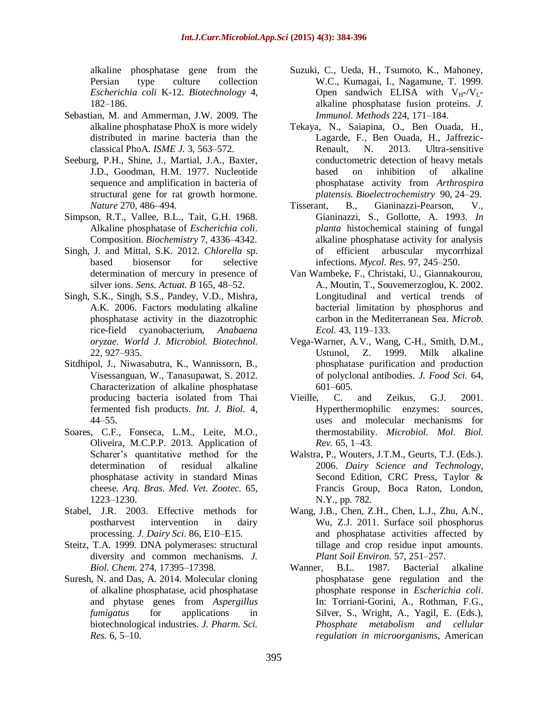alkaline phosphatase gene from the Persian type culture collection *Escherichia coli* K-12. *Biotechnology* 4, 182–186.

- Sebastian, M. and Ammerman, J.W. 2009. The alkaline phosphatase PhoX is more widely distributed in marine bacteria than the classical PhoA. *ISME J.* 3, 563–572.
- Seeburg, P.H., Shine, J., Martial, J.A., Baxter, J.D., Goodman, H.M. 1977. Nucleotide sequence and amplification in bacteria of structural gene for rat growth hormone. *Nature* 270, 486–494.
- Simpson, R.T., Vallee, B.L., Tait, G.H. 1968. Alkaline phosphatase of *Escherichia coli*. Composition. *Biochemistry* 7, 4336–4342.
- Singh, J. and Mittal, S.K. 2012. *Chlorella* sp. based biosensor for selective determination of mercury in presence of silver ions. *Sens. Actuat. B* 165, 48–52.
- Singh, S.K., Singh, S.S., Pandey, V.D., Mishra, A.K. 2006. Factors modulating alkaline phosphatase activity in the diazotrophic rice-field cyanobacterium, *Anabaena oryzae*. *World J. Microbiol. Biotechnol.* 22, 927–935.
- Sitdhipol, J., Niwasabutra, K., Wannissorn, B., Visessanguan, W., Tanasupawat, S. 2012. Characterization of alkaline phosphatase producing bacteria isolated from Thai fermented fish products. *Int. J. Biol.* 4, 44–55.
- Soares, C.F., Fonseca, L.M., Leite, M.O., Oliveira, M.C.P.P. 2013. Application of Scharer's quantitative method for the determination of residual alkaline phosphatase activity in standard Minas cheese. *Arq. Bras. Med. Vet. Zootec.* 65, 1223–1230.
- Stabel, J.R. 2003. Effective methods for postharvest intervention in dairy processing. *J. Dairy Sci.* 86, E10–E15.
- Steitz, T.A. 1999. DNA polymerases: structural diversity and common mechanisms. *J. Biol. Chem.* 274, 17395–17398.
- Suresh, N. and Das, A. 2014. Molecular cloning of alkaline phosphatase, acid phosphatase and phytase genes from *Aspergillus fumigatus* for applications in biotechnological industries. *J. Pharm. Sci. Res.* 6, 5–10.
- Suzuki, C., Ueda, H., Tsumoto, K., Mahoney, W.C., Kumagai, I., Nagamune, T. 1999. Open sandwich ELISA with  $V_H$ -/ $V_L$ alkaline phosphatase fusion proteins. *J. Immunol. Methods* 224, 171–184.
- Tekaya, N., Saiapina, O., Ben Ouada, H., Lagarde, F., Ben Ouada, H., Jaffrezic-Renault, N. 2013. Ultra-sensitive conductometric detection of heavy metals based on inhibition of alkaline phosphatase activity from *Arthrospira platensis. Bioelectrochemistry* 90, 24–29.
- Tisserant, B., Gianinazzi-Pearson, V., Gianinazzi, S., Gollotte, A. 1993. *In planta* histochemical staining of fungal alkaline phosphatase activity for analysis of efficient arbuscular mycorrhizal infections. *Mycol. Res.* 97, 245–250.
- Van Wambeke, F., Christaki, U., Giannakourou, A., Moutin, T., Souvemerzoglou, K. 2002. Longitudinal and vertical trends of bacterial limitation by phosphorus and carbon in the Mediterranean Sea. *Microb. Ecol.* 43, 119–133.
- Vega-Warner, A.V., Wang, C-H., Smith, D.M., Ustunol, Z. 1999. Milk alkaline phosphatase purification and production of polyclonal antibodies. *J. Food Sci.* 64, 601–605.
- Vieille, C. and Zeikus, G.J. 2001. Hyperthermophilic enzymes: sources, uses and molecular mechanisms for thermostability. *Microbiol. Mol. Biol. Rev.* 65, 1–43.
- Walstra, P., Wouters, J.T.M., Geurts, T.J. (Eds.). 2006. *Dairy Science and Technology*, Second Edition, CRC Press, Taylor & Francis Group, Boca Raton, London, N.Y., pp. 782.
- Wang, J.B., Chen, Z.H., Chen, L.J., Zhu, A.N., Wu, Z.J. 2011. Surface soil phosphorus and phosphatase activities affected by tillage and crop residue input amounts. *Plant Soil Environ.* 57, 251–257.
- Wanner, B.L. 1987. Bacterial alkaline phosphatase gene regulation and the phosphate response in *Escherichia coli*. In: Torriani-Gorini, A., Rothman, F.G., Silver, S., Wright, A., Yagil, E. (Eds.), *Phosphate metabolism and cellular regulation in microorganisms*, American